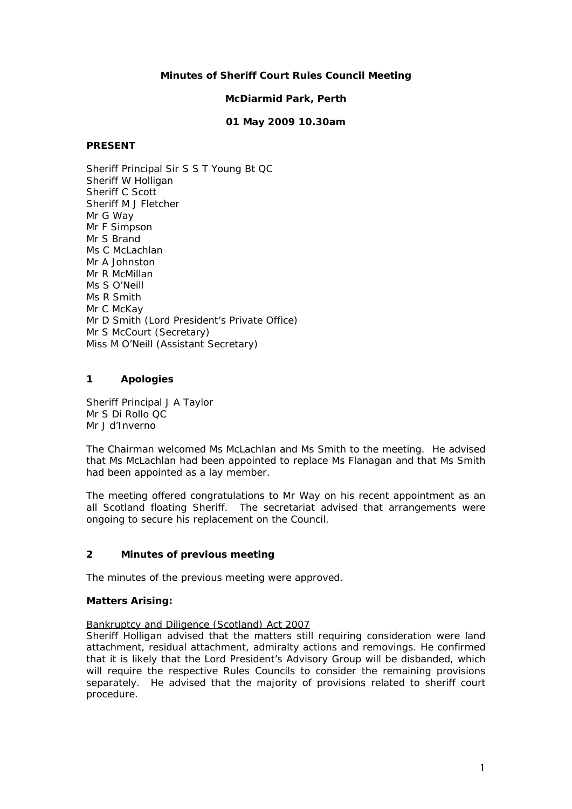## **Minutes of Sheriff Court Rules Council Meeting**

#### **McDiarmid Park, Perth**

#### **01 May 2009 10.30am**

### **PRESENT**

Sheriff Principal Sir S S T Young Bt QC Sheriff W Holligan Sheriff C Scott Sheriff M J Fletcher Mr G Way Mr F Simpson Mr S Brand Ms C McLachlan Mr A Johnston Mr R McMillan Ms S O'Neill Ms R Smith Mr C McKay Mr D Smith (Lord President's Private Office) Mr S McCourt (Secretary) Miss M O'Neill (Assistant Secretary)

# **1 Apologies**

Sheriff Principal J A Taylor Mr S Di Rollo QC Mr J d'Inverno

The Chairman welcomed Ms McLachlan and Ms Smith to the meeting. He advised that Ms McLachlan had been appointed to replace Ms Flanagan and that Ms Smith had been appointed as a lay member.

The meeting offered congratulations to Mr Way on his recent appointment as an all Scotland floating Sheriff. The secretariat advised that arrangements were ongoing to secure his replacement on the Council.

# **2 Minutes of previous meeting**

The minutes of the previous meeting were approved.

#### **Matters Arising:**

#### Bankruptcy and Diligence (Scotland) Act 2007

Sheriff Holligan advised that the matters still requiring consideration were land attachment, residual attachment, admiralty actions and removings. He confirmed that it is likely that the Lord President's Advisory Group will be disbanded, which will require the respective Rules Councils to consider the remaining provisions separately. He advised that the majority of provisions related to sheriff court procedure.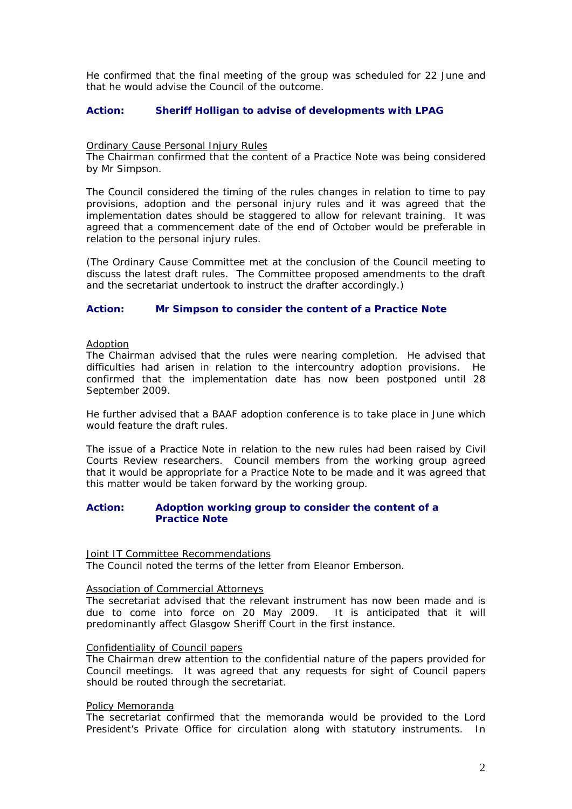He confirmed that the final meeting of the group was scheduled for 22 June and that he would advise the Council of the outcome.

#### **Action: Sheriff Holligan to advise of developments with LPAG**

#### Ordinary Cause Personal Injury Rules

The Chairman confirmed that the content of a Practice Note was being considered by Mr Simpson.

The Council considered the timing of the rules changes in relation to time to pay provisions, adoption and the personal injury rules and it was agreed that the implementation dates should be staggered to allow for relevant training. It was agreed that a commencement date of the end of October would be preferable in relation to the personal injury rules.

(The Ordinary Cause Committee met at the conclusion of the Council meeting to discuss the latest draft rules. The Committee proposed amendments to the draft and the secretariat undertook to instruct the drafter accordingly.)

#### **Action: Mr Simpson to consider the content of a Practice Note**

#### Adoption

The Chairman advised that the rules were nearing completion. He advised that difficulties had arisen in relation to the intercountry adoption provisions. He confirmed that the implementation date has now been postponed until 28 September 2009.

He further advised that a BAAF adoption conference is to take place in June which would feature the draft rules.

The issue of a Practice Note in relation to the new rules had been raised by Civil Courts Review researchers. Council members from the working group agreed that it would be appropriate for a Practice Note to be made and it was agreed that this matter would be taken forward by the working group.

#### **Action: Adoption working group to consider the content of a Practice Note**

#### Joint IT Committee Recommendations

The Council noted the terms of the letter from Eleanor Emberson.

#### Association of Commercial Attorneys

The secretariat advised that the relevant instrument has now been made and is due to come into force on 20 May 2009. It is anticipated that it will predominantly affect Glasgow Sheriff Court in the first instance.

#### Confidentiality of Council papers

The Chairman drew attention to the confidential nature of the papers provided for Council meetings. It was agreed that any requests for sight of Council papers should be routed through the secretariat.

#### Policy Memoranda

The secretariat confirmed that the memoranda would be provided to the Lord President's Private Office for circulation along with statutory instruments. In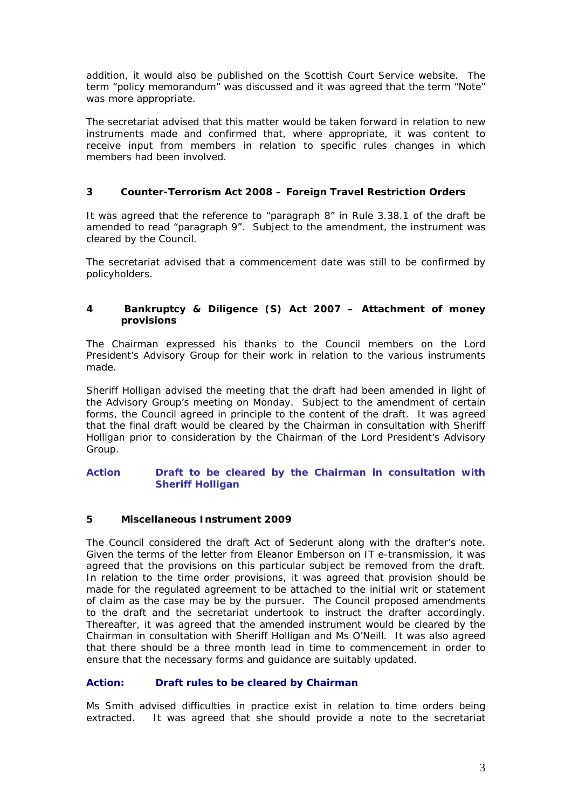addition, it would also be published on the Scottish Court Service website. The term "policy memorandum" was discussed and it was agreed that the term "Note" was more appropriate.

The secretariat advised that this matter would be taken forward in relation to new instruments made and confirmed that, where appropriate, it was content to receive input from members in relation to specific rules changes in which members had been involved.

# **3 Counter-Terrorism Act 2008 – Foreign Travel Restriction Orders**

It was agreed that the reference to "paragraph 8" in Rule 3.38.1 of the draft be amended to read "paragraph 9". Subject to the amendment, the instrument was cleared by the Council.

The secretariat advised that a commencement date was still to be confirmed by policyholders.

# **4 Bankruptcy & Diligence (S) Act 2007 – Attachment of money provisions**

The Chairman expressed his thanks to the Council members on the Lord President's Advisory Group for their work in relation to the various instruments made.

Sheriff Holligan advised the meeting that the draft had been amended in light of the Advisory Group's meeting on Monday. Subject to the amendment of certain forms, the Council agreed in principle to the content of the draft. It was agreed that the final draft would be cleared by the Chairman in consultation with Sheriff Holligan prior to consideration by the Chairman of the Lord President's Advisory Group.

#### **Action Draft to be cleared by the Chairman in consultation with Sheriff Holligan**

# **5 Miscellaneous Instrument 2009**

The Council considered the draft Act of Sederunt along with the drafter's note. Given the terms of the letter from Eleanor Emberson on IT e-transmission, it was agreed that the provisions on this particular subject be removed from the draft. In relation to the time order provisions, it was agreed that provision should be made for the regulated agreement to be attached to the initial writ or statement of claim as the case may be by the pursuer. The Council proposed amendments to the draft and the secretariat undertook to instruct the drafter accordingly. Thereafter, it was agreed that the amended instrument would be cleared by the Chairman in consultation with Sheriff Holligan and Ms O'Neill. It was also agreed that there should be a three month lead in time to commencement in order to ensure that the necessary forms and guidance are suitably updated.

## **Action: Draft rules to be cleared by Chairman**

Ms Smith advised difficulties in practice exist in relation to time orders being extracted. It was agreed that she should provide a note to the secretariat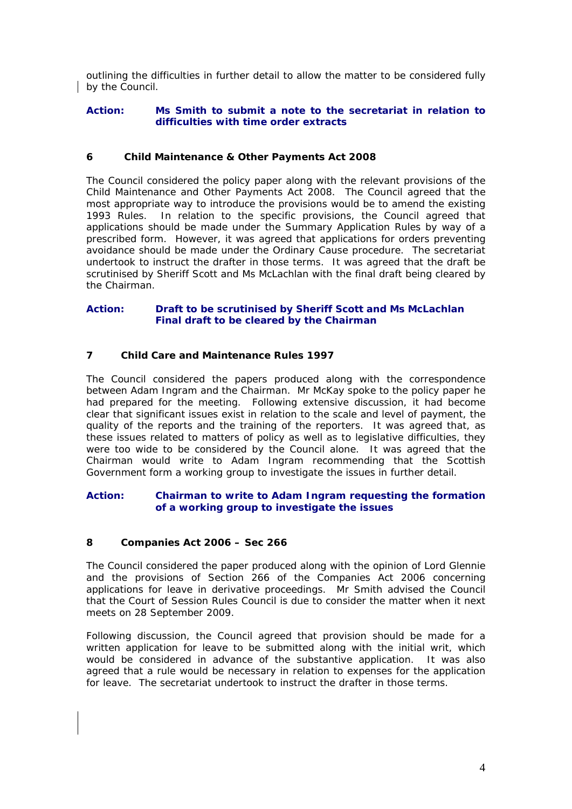outlining the difficulties in further detail to allow the matter to be considered fully by the Council.

#### **Action: Ms Smith to submit a note to the secretariat in relation to difficulties with time order extracts**

# **6 Child Maintenance & Other Payments Act 2008**

The Council considered the policy paper along with the relevant provisions of the Child Maintenance and Other Payments Act 2008. The Council agreed that the most appropriate way to introduce the provisions would be to amend the existing 1993 Rules. In relation to the specific provisions, the Council agreed that applications should be made under the Summary Application Rules by way of a prescribed form. However, it was agreed that applications for orders preventing avoidance should be made under the Ordinary Cause procedure. The secretariat undertook to instruct the drafter in those terms. It was agreed that the draft be scrutinised by Sheriff Scott and Ms McLachlan with the final draft being cleared by the Chairman.

### **Action: Draft to be scrutinised by Sheriff Scott and Ms McLachlan Final draft to be cleared by the Chairman**

# **7 Child Care and Maintenance Rules 1997**

The Council considered the papers produced along with the correspondence between Adam Ingram and the Chairman. Mr McKay spoke to the policy paper he had prepared for the meeting. Following extensive discussion, it had become clear that significant issues exist in relation to the scale and level of payment, the quality of the reports and the training of the reporters. It was agreed that, as these issues related to matters of policy as well as to legislative difficulties, they were too wide to be considered by the Council alone. It was agreed that the Chairman would write to Adam Ingram recommending that the Scottish Government form a working group to investigate the issues in further detail.

# **Action: Chairman to write to Adam Ingram requesting the formation of a working group to investigate the issues**

#### **8 Companies Act 2006 – Sec 266**

The Council considered the paper produced along with the opinion of Lord Glennie and the provisions of Section 266 of the Companies Act 2006 concerning applications for leave in derivative proceedings. Mr Smith advised the Council that the Court of Session Rules Council is due to consider the matter when it next meets on 28 September 2009.

Following discussion, the Council agreed that provision should be made for a written application for leave to be submitted along with the initial writ, which would be considered in advance of the substantive application. It was also agreed that a rule would be necessary in relation to expenses for the application for leave. The secretariat undertook to instruct the drafter in those terms.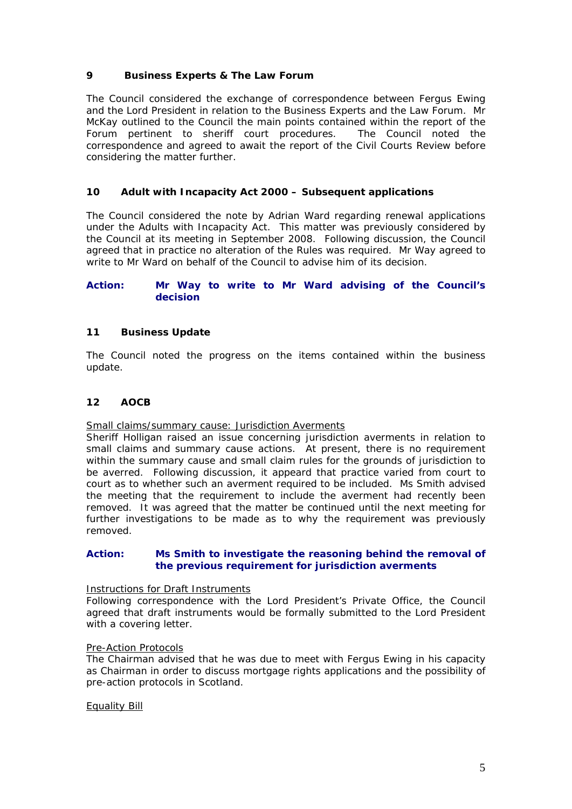# **9 Business Experts & The Law Forum**

The Council considered the exchange of correspondence between Fergus Ewing and the Lord President in relation to the Business Experts and the Law Forum. Mr McKay outlined to the Council the main points contained within the report of the Forum pertinent to sheriff court procedures. The Council noted the correspondence and agreed to await the report of the Civil Courts Review before considering the matter further.

# **10 Adult with Incapacity Act 2000 – Subsequent applications**

The Council considered the note by Adrian Ward regarding renewal applications under the Adults with Incapacity Act. This matter was previously considered by the Council at its meeting in September 2008. Following discussion, the Council agreed that in practice no alteration of the Rules was required. Mr Way agreed to write to Mr Ward on behalf of the Council to advise him of its decision.

### **Action: Mr Way to write to Mr Ward advising of the Council's decision**

#### **11 Business Update**

The Council noted the progress on the items contained within the business update.

# **12 AOCB**

#### Small claims/summary cause: Jurisdiction Averments

Sheriff Holligan raised an issue concerning jurisdiction averments in relation to small claims and summary cause actions. At present, there is no requirement within the summary cause and small claim rules for the grounds of jurisdiction to be averred. Following discussion, it appeard that practice varied from court to court as to whether such an averment required to be included. Ms Smith advised the meeting that the requirement to include the averment had recently been removed. It was agreed that the matter be continued until the next meeting for further investigations to be made as to why the requirement was previously removed.

#### **Action: Ms Smith to investigate the reasoning behind the removal of the previous requirement for jurisdiction averments**

#### Instructions for Draft Instruments

Following correspondence with the Lord President's Private Office, the Council agreed that draft instruments would be formally submitted to the Lord President with a covering letter.

#### Pre-Action Protocols

The Chairman advised that he was due to meet with Fergus Ewing in his capacity as Chairman in order to discuss mortgage rights applications and the possibility of pre-action protocols in Scotland.

#### Equality Bill